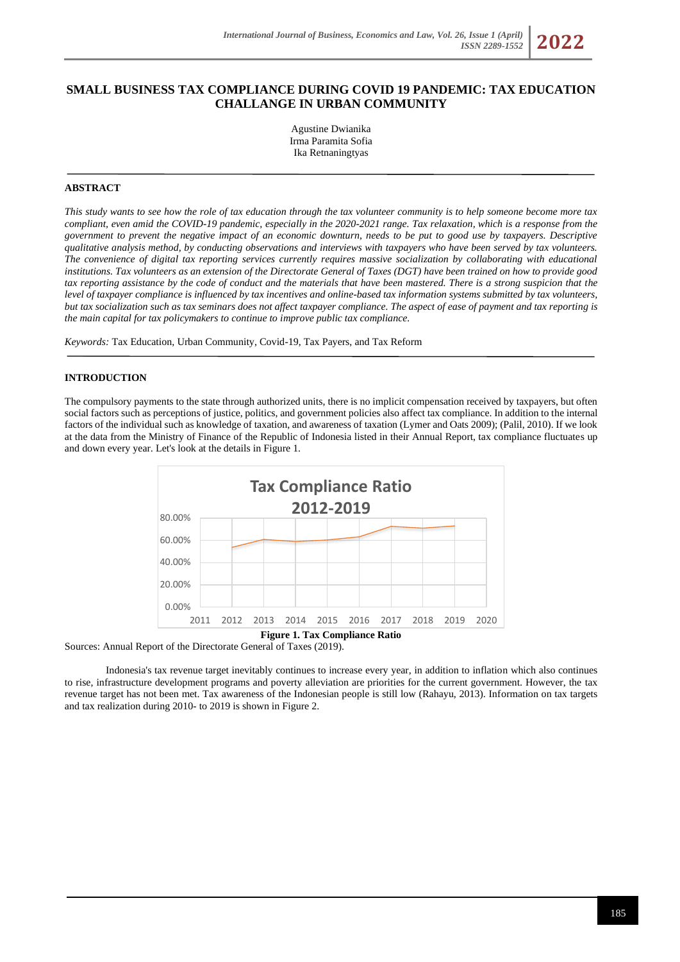# **SMALL BUSINESS TAX COMPLIANCE DURING COVID 19 PANDEMIC: TAX EDUCATION CHALLANGE IN URBAN COMMUNITY**

Agustine Dwianika Irma Paramita Sofia Ika Retnaningtyas

### **ABSTRACT**

*This study wants to see how the role of tax education through the tax volunteer community is to help someone become more tax compliant, even amid the COVID-19 pandemic, especially in the 2020-2021 range. Tax relaxation, which is a response from the government to prevent the negative impact of an economic downturn, needs to be put to good use by taxpayers. Descriptive qualitative analysis method, by conducting observations and interviews with taxpayers who have been served by tax volunteers. The convenience of digital tax reporting services currently requires massive socialization by collaborating with educational institutions. Tax volunteers as an extension of the Directorate General of Taxes (DGT) have been trained on how to provide good tax reporting assistance by the code of conduct and the materials that have been mastered. There is a strong suspicion that the level of taxpayer compliance is influenced by tax incentives and online-based tax information systems submitted by tax volunteers, but tax socialization such as tax seminars does not affect taxpayer compliance. The aspect of ease of payment and tax reporting is the main capital for tax policymakers to continue to improve public tax compliance.*

*Keywords:* Tax Education, Urban Community, Covid-19, Tax Payers, and Tax Reform

### **INTRODUCTION**

The compulsory payments to the state through authorized units, there is no implicit compensation received by taxpayers, but often social factors such as perceptions of justice, politics, and government policies also affect tax compliance. In addition to the internal factors of the individual such as knowledge of taxation, and awareness of taxation (Lymer and Oats 2009); (Palil, 2010). If we look at the data from the Ministry of Finance of the Republic of Indonesia listed in their Annual Report, tax compliance fluctuates up and down every year. Let's look at the details in Figure 1.



Sources: Annual Report of the Directorate General of Taxes (2019).

Indonesia's tax revenue target inevitably continues to increase every year, in addition to inflation which also continues to rise, infrastructure development programs and poverty alleviation are priorities for the current government. However, the tax revenue target has not been met. Tax awareness of the Indonesian people is still low (Rahayu, 2013). Information on tax targets and tax realization during 2010- to 2019 is shown in Figure 2.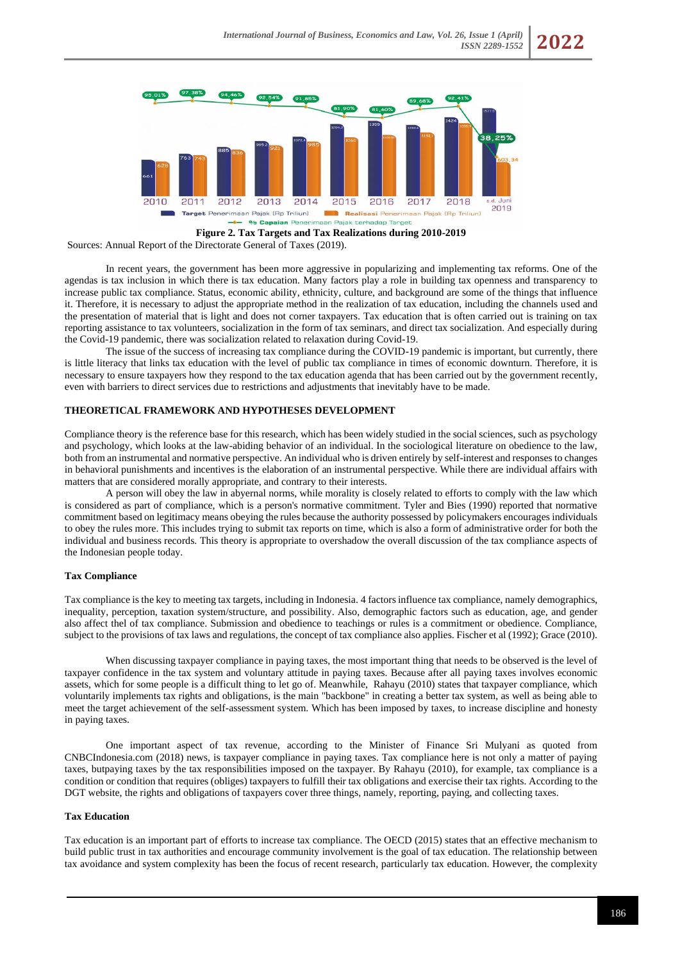

**Figure 2. Tax Targets and Tax Realizations during 2010-2019**

Sources: Annual Report of the Directorate General of Taxes (2019).

In recent years, the government has been more aggressive in popularizing and implementing tax reforms. One of the agendas is tax inclusion in which there is tax education. Many factors play a role in building tax openness and transparency to increase public tax compliance. Status, economic ability, ethnicity, culture, and background are some of the things that influence it. Therefore, it is necessary to adjust the appropriate method in the realization of tax education, including the channels used and the presentation of material that is light and does not corner taxpayers. Tax education that is often carried out is training on tax reporting assistance to tax volunteers, socialization in the form of tax seminars, and direct tax socialization. And especially during the Covid-19 pandemic, there was socialization related to relaxation during Covid-19.

The issue of the success of increasing tax compliance during the COVID-19 pandemic is important, but currently, there is little literacy that links tax education with the level of public tax compliance in times of economic downturn. Therefore, it is necessary to ensure taxpayers how they respond to the tax education agenda that has been carried out by the government recently, even with barriers to direct services due to restrictions and adjustments that inevitably have to be made.

### **THEORETICAL FRAMEWORK AND HYPOTHESES DEVELOPMENT**

Compliance theory is the reference base for this research, which has been widely studied in the social sciences, such as psychology and psychology, which looks at the law-abiding behavior of an individual. In the sociological literature on obedience to the law, both from an instrumental and normative perspective. An individual who is driven entirely by self-interest and responses to changes in behavioral punishments and incentives is the elaboration of an instrumental perspective. While there are individual affairs with matters that are considered morally appropriate, and contrary to their interests.

A person will obey the law in abyernal norms, while morality is closely related to efforts to comply with the law which is considered as part of compliance, which is a person's normative commitment. Tyler and Bies (1990) reported that normative commitment based on legitimacy means obeying the rules because the authority possessed by policymakers encourages individuals to obey the rules more. This includes trying to submit tax reports on time, which is also a form of administrative order for both the individual and business records. This theory is appropriate to overshadow the overall discussion of the tax compliance aspects of the Indonesian people today.

#### **Tax Compliance**

Tax compliance is the key to meeting tax targets, including in Indonesia. 4 factors influence tax compliance, namely demographics, inequality, perception, taxation system/structure, and possibility. Also, demographic factors such as education, age, and gender also affect thel of tax compliance. Submission and obedience to teachings or rules is a commitment or obedience. Compliance, subject to the provisions of tax laws and regulations, the concept of tax compliance also applies. Fischer et al (1992); Grace (2010).

When discussing taxpayer compliance in paying taxes, the most important thing that needs to be observed is the level of taxpayer confidence in the tax system and voluntary attitude in paying taxes. Because after all paying taxes involves economic assets, which for some people is a difficult thing to let go of. Meanwhile, Rahayu (2010) states that taxpayer compliance, which voluntarily implements tax rights and obligations, is the main "backbone" in creating a better tax system, as well as being able to meet the target achievement of the self-assessment system. Which has been imposed by taxes, to increase discipline and honesty in paying taxes.

One important aspect of tax revenue, according to the Minister of Finance Sri Mulyani as quoted from CNBCIndonesia.com (2018) news, is taxpayer compliance in paying taxes. Tax compliance here is not only a matter of paying taxes, butpaying taxes by the tax responsibilities imposed on the taxpayer. By Rahayu (2010), for example, tax compliance is a condition or condition that requires (obliges) taxpayers to fulfill their tax obligations and exercise their tax rights. According to the DGT website, the rights and obligations of taxpayers cover three things, namely, reporting, paying, and collecting taxes.

### **Tax Education**

Tax education is an important part of efforts to increase tax compliance. The OECD (2015) states that an effective mechanism to build public trust in tax authorities and encourage community involvement is the goal of tax education. The relationship between tax avoidance and system complexity has been the focus of recent research, particularly tax education. However, the complexity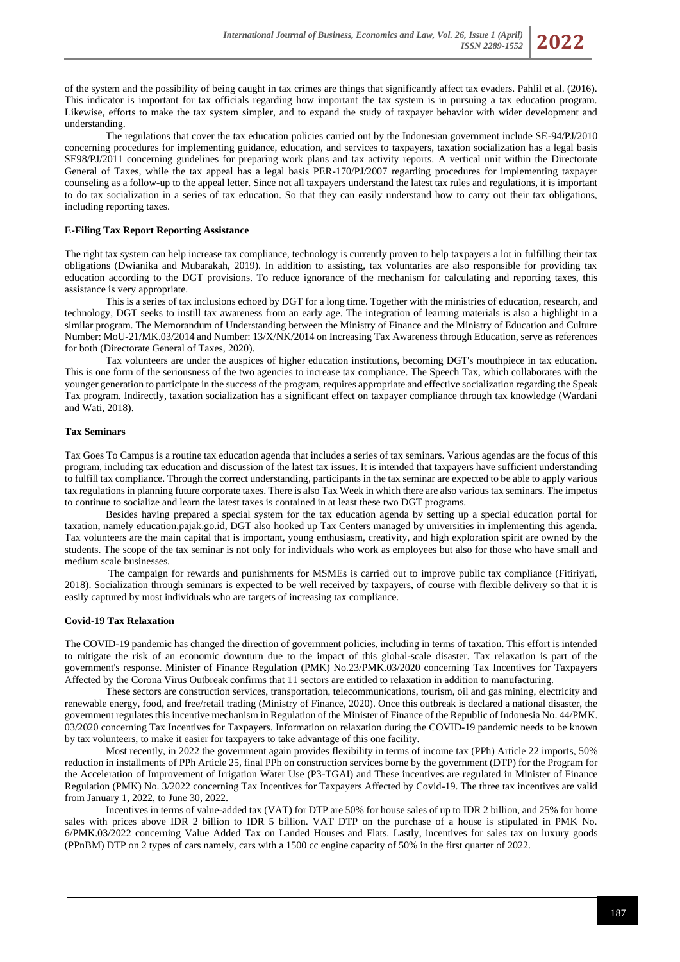of the system and the possibility of being caught in tax crimes are things that significantly affect tax evaders. Pahlil et al. (2016). This indicator is important for tax officials regarding how important the tax system is in pursuing a tax education program. Likewise, efforts to make the tax system simpler, and to expand the study of taxpayer behavior with wider development and understanding.

The regulations that cover the tax education policies carried out by the Indonesian government include SE-94/PJ/2010 concerning procedures for implementing guidance, education, and services to taxpayers, taxation socialization has a legal basis SE98/PJ/2011 concerning guidelines for preparing work plans and tax activity reports. A vertical unit within the Directorate General of Taxes, while the tax appeal has a legal basis PER-170/PJ/2007 regarding procedures for implementing taxpayer counseling as a follow-up to the appeal letter. Since not all taxpayers understand the latest tax rules and regulations, it is important to do tax socialization in a series of tax education. So that they can easily understand how to carry out their tax obligations, including reporting taxes.

## **E-Filing Tax Report Reporting Assistance**

The right tax system can help increase tax compliance, technology is currently proven to help taxpayers a lot in fulfilling their tax obligations (Dwianika and Mubarakah, 2019). In addition to assisting, tax voluntaries are also responsible for providing tax education according to the DGT provisions. To reduce ignorance of the mechanism for calculating and reporting taxes, this assistance is very appropriate.

This is a series of tax inclusions echoed by DGT for a long time. Together with the ministries of education, research, and technology, DGT seeks to instill tax awareness from an early age. The integration of learning materials is also a highlight in a similar program. The Memorandum of Understanding between the Ministry of Finance and the Ministry of Education and Culture Number: MoU-21/MK.03/2014 and Number: 13/X/NK/2014 on Increasing Tax Awareness through Education, serve as references for both (Directorate General of Taxes, 2020).

Tax volunteers are under the auspices of higher education institutions, becoming DGT's mouthpiece in tax education. This is one form of the seriousness of the two agencies to increase tax compliance. The Speech Tax, which collaborates with the younger generation to participate in the success of the program, requires appropriate and effective socialization regarding the Speak Tax program. Indirectly, taxation socialization has a significant effect on taxpayer compliance through tax knowledge (Wardani and Wati, 2018).

## **Tax Seminars**

Tax Goes To Campus is a routine tax education agenda that includes a series of tax seminars. Various agendas are the focus of this program, including tax education and discussion of the latest tax issues. It is intended that taxpayers have sufficient understanding to fulfill tax compliance. Through the correct understanding, participants in the tax seminar are expected to be able to apply various tax regulations in planning future corporate taxes. There is also Tax Week in which there are also various tax seminars. The impetus to continue to socialize and learn the latest taxes is contained in at least these two DGT programs.

Besides having prepared a special system for the tax education agenda by setting up a special education portal for taxation, namely education.pajak.go.id, DGT also hooked up Tax Centers managed by universities in implementing this agenda. Tax volunteers are the main capital that is important, young enthusiasm, creativity, and high exploration spirit are owned by the students. The scope of the tax seminar is not only for individuals who work as employees but also for those who have small and medium scale businesses.

The campaign for rewards and punishments for MSMEs is carried out to improve public tax compliance (Fitiriyati, 2018). Socialization through seminars is expected to be well received by taxpayers, of course with flexible delivery so that it is easily captured by most individuals who are targets of increasing tax compliance.

## **Covid-19 Tax Relaxation**

The COVID-19 pandemic has changed the direction of government policies, including in terms of taxation. This effort is intended to mitigate the risk of an economic downturn due to the impact of this global-scale disaster. Tax relaxation is part of the government's response. Minister of Finance Regulation (PMK) No.23/PMK.03/2020 concerning Tax Incentives for Taxpayers Affected by the Corona Virus Outbreak confirms that 11 sectors are entitled to relaxation in addition to manufacturing.

These sectors are construction services, transportation, telecommunications, tourism, oil and gas mining, electricity and renewable energy, food, and free/retail trading (Ministry of Finance, 2020). Once this outbreak is declared a national disaster, the government regulates this incentive mechanism in Regulation of the Minister of Finance of the Republic of Indonesia No. 44/PMK. 03/2020 concerning Tax Incentives for Taxpayers. Information on relaxation during the COVID-19 pandemic needs to be known by tax volunteers, to make it easier for taxpayers to take advantage of this one facility.

Most recently, in 2022 the government again provides flexibility in terms of income tax (PPh) Article 22 imports, 50% reduction in installments of PPh Article 25, final PPh on construction services borne by the government (DTP) for the Program for the Acceleration of Improvement of Irrigation Water Use (P3-TGAI) and These incentives are regulated in Minister of Finance Regulation (PMK) No. 3/2022 concerning Tax Incentives for Taxpayers Affected by Covid-19. The three tax incentives are valid from January 1, 2022, to June 30, 2022.

Incentives in terms of value-added tax (VAT) for DTP are 50% for house sales of up to IDR 2 billion, and 25% for home sales with prices above IDR 2 billion to IDR 5 billion. VAT DTP on the purchase of a house is stipulated in PMK No. 6/PMK.03/2022 concerning Value Added Tax on Landed Houses and Flats. Lastly, incentives for sales tax on luxury goods (PPnBM) DTP on 2 types of cars namely, cars with a 1500 cc engine capacity of 50% in the first quarter of 2022.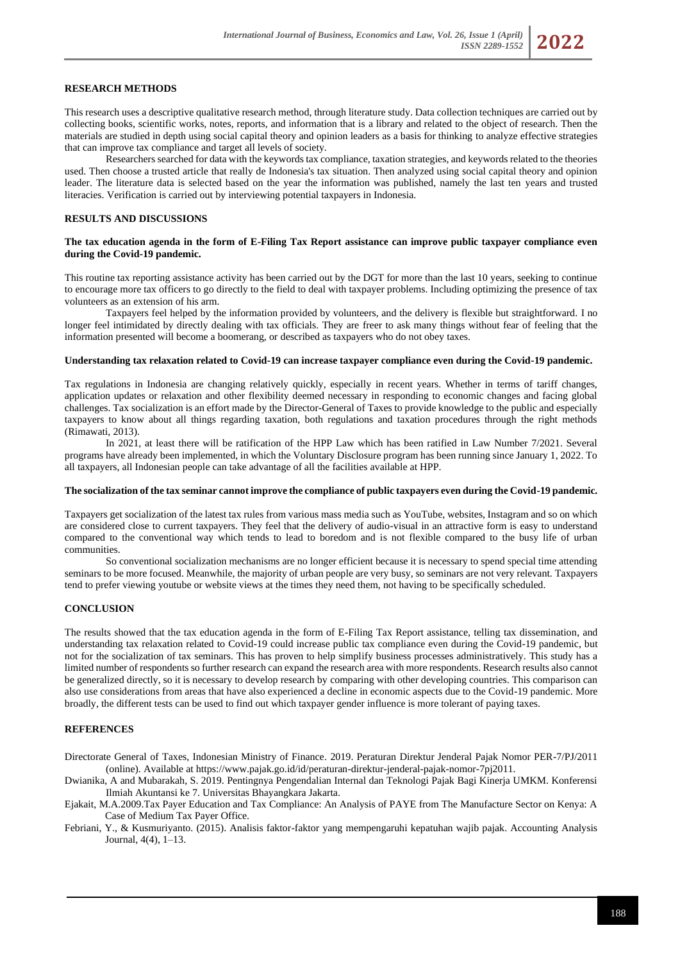## **RESEARCH METHODS**

This research uses a descriptive qualitative research method, through literature study. Data collection techniques are carried out by collecting books, scientific works, notes, reports, and information that is a library and related to the object of research. Then the materials are studied in depth using social capital theory and opinion leaders as a basis for thinking to analyze effective strategies that can improve tax compliance and target all levels of society.

Researchers searched for data with the keywords tax compliance, taxation strategies, and keywords related to the theories used. Then choose a trusted article that really de Indonesia's tax situation. Then analyzed using social capital theory and opinion leader. The literature data is selected based on the year the information was published, namely the last ten years and trusted literacies. Verification is carried out by interviewing potential taxpayers in Indonesia.

## **RESULTS AND DISCUSSIONS**

### **The tax education agenda in the form of E-Filing Tax Report assistance can improve public taxpayer compliance even during the Covid-19 pandemic.**

This routine tax reporting assistance activity has been carried out by the DGT for more than the last 10 years, seeking to continue to encourage more tax officers to go directly to the field to deal with taxpayer problems. Including optimizing the presence of tax volunteers as an extension of his arm.

Taxpayers feel helped by the information provided by volunteers, and the delivery is flexible but straightforward. I no longer feel intimidated by directly dealing with tax officials. They are freer to ask many things without fear of feeling that the information presented will become a boomerang, or described as taxpayers who do not obey taxes.

### **Understanding tax relaxation related to Covid-19 can increase taxpayer compliance even during the Covid-19 pandemic.**

Tax regulations in Indonesia are changing relatively quickly, especially in recent years. Whether in terms of tariff changes, application updates or relaxation and other flexibility deemed necessary in responding to economic changes and facing global challenges. Tax socialization is an effort made by the Director-General of Taxes to provide knowledge to the public and especially taxpayers to know about all things regarding taxation, both regulations and taxation procedures through the right methods (Rimawati, 2013).

In 2021, at least there will be ratification of the HPP Law which has been ratified in Law Number 7/2021. Several programs have already been implemented, in which the Voluntary Disclosure program has been running since January 1, 2022. To all taxpayers, all Indonesian people can take advantage of all the facilities available at HPP.

### **The socialization of the tax seminar cannot improve the compliance of public taxpayers even during the Covid-19 pandemic.**

Taxpayers get socialization of the latest tax rules from various mass media such as YouTube, websites, Instagram and so on which are considered close to current taxpayers. They feel that the delivery of audio-visual in an attractive form is easy to understand compared to the conventional way which tends to lead to boredom and is not flexible compared to the busy life of urban communities.

So conventional socialization mechanisms are no longer efficient because it is necessary to spend special time attending seminars to be more focused. Meanwhile, the majority of urban people are very busy, so seminars are not very relevant. Taxpayers tend to prefer viewing youtube or website views at the times they need them, not having to be specifically scheduled.

### **CONCLUSION**

The results showed that the tax education agenda in the form of E-Filing Tax Report assistance, telling tax dissemination, and understanding tax relaxation related to Covid-19 could increase public tax compliance even during the Covid-19 pandemic, but not for the socialization of tax seminars. This has proven to help simplify business processes administratively. This study has a limited number of respondents so further research can expand the research area with more respondents. Research results also cannot be generalized directly, so it is necessary to develop research by comparing with other developing countries. This comparison can also use considerations from areas that have also experienced a decline in economic aspects due to the Covid-19 pandemic. More broadly, the different tests can be used to find out which taxpayer gender influence is more tolerant of paying taxes.

# **REFERENCES**

Directorate General of Taxes, Indonesian Ministry of Finance. 2019. Peraturan Direktur Jenderal Pajak Nomor PER-7/PJ/2011 (online). Available a[t https://www.pajak.go.id/id/peraturan-direktur-jenderal-pajak-nomor-7pj2011.](https://www.pajak.go.id/id/peraturan-direktur-jenderal-pajak-nomor-7pj2011)

Dwianika, A and Mubarakah, S. 2019. Pentingnya Pengendalian Internal dan Teknologi Pajak Bagi Kinerja UMKM. Konferensi Ilmiah Akuntansi ke 7. Universitas Bhayangkara Jakarta.

Ejakait, M.A.2009.Tax Payer Education and Tax Compliance: An Analysis of PAYE from The Manufacture Sector on Kenya: A Case of Medium Tax Payer Office.

Febriani, Y., & Kusmuriyanto. (2015). Analisis faktor-faktor yang mempengaruhi kepatuhan wajib pajak. Accounting Analysis Journal, 4(4), 1–13.